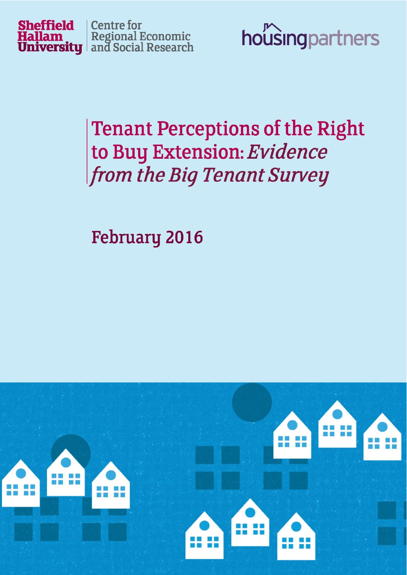



# **Tenant Perceptions of the Right** to Buy Extension: Evidence from the Big Tenant Survey

**February 2016** 

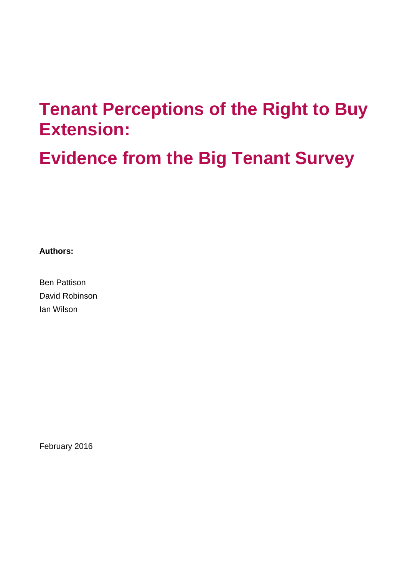# **Tenant Perceptions of the Right to Buy Extension:**

**Evidence from the Big Tenant Survey**

**Authors:**

Ben Pattison David Robinson Ian Wilson

February 2016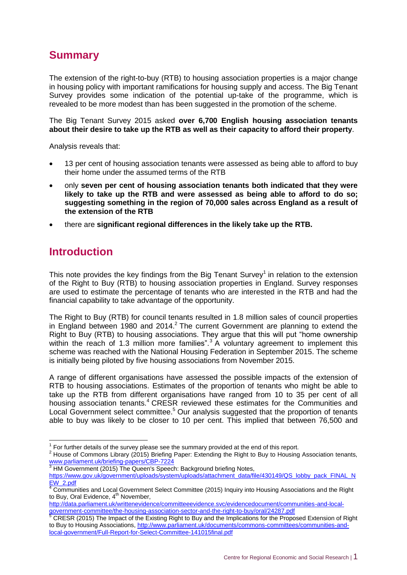## **Summary**

The extension of the right-to-buy (RTB) to housing association properties is a major change in housing policy with important ramifications for housing supply and access. The Big Tenant Survey provides some indication of the potential up-take of the programme, which is revealed to be more modest than has been suggested in the promotion of the scheme.

The Big Tenant Survey 2015 asked **over 6,700 English housing association tenants about their desire to take up the RTB as well as their capacity to afford their property**.

Analysis reveals that:

- 13 per cent of housing association tenants were assessed as being able to afford to buy their home under the assumed terms of the RTB
- only **seven per cent of housing association tenants both indicated that they were likely to take up the RTB and were assessed as being able to afford to do so; suggesting something in the region of 70,000 sales across England as a result of the extension of the RTB**
- there are **significant regional differences in the likely take up the RTB.**

#### **Introduction**

-

This note provides the key findings from the Big Tenant Survey<sup>1</sup> in relation to the extension of the Right to Buy (RTB) to housing association properties in England. Survey responses are used to estimate the percentage of tenants who are interested in the RTB and had the financial capability to take advantage of the opportunity.

The Right to Buy (RTB) for council tenants resulted in 1.8 million sales of council properties in England between 1980 and 2014. $^2$  The current Government are planning to extend the Right to Buy (RTB) to housing associations. They argue that this will put "home ownership within the reach of 1.3 million more families".<sup>3</sup> A voluntary agreement to implement this scheme was reached with the National Housing Federation in September 2015. The scheme is initially being piloted by five housing associations from November 2015.

A range of different organisations have assessed the possible impacts of the extension of RTB to housing associations. Estimates of the proportion of tenants who might be able to take up the RTB from different organisations have ranged from 10 to 35 per cent of all housing association tenants.<sup>4</sup> CRESR reviewed these estimates for the Communities and Local Government select committee.<sup>5</sup> Our analysis suggested that the proportion of tenants able to buy was likely to be closer to 10 per cent. This implied that between 76,500 and

 $1$  For further details of the survey please see the summary provided at the end of this report.

<sup>2</sup> House of Commons Library (2015) Briefing Paper: Extending the Right to Buy to Housing Association tenants, [www.parliament.uk/briefing-papers/CBP-7224](http://www.parliament.uk/briefing-papers/CBP-7224)

HM Government (2015) The Queen's Speech: Background briefing Notes, [https://www.gov.uk/government/uploads/system/uploads/attachment\\_data/file/430149/QS\\_lobby\\_pack\\_FINAL\\_N](https://www.gov.uk/government/uploads/system/uploads/attachment_data/file/430149/QS_lobby_pack_FINAL_NEW_2.pdf) [EW\\_2.pdf](https://www.gov.uk/government/uploads/system/uploads/attachment_data/file/430149/QS_lobby_pack_FINAL_NEW_2.pdf)

 $4$  Communities and Local Government Select Committee (2015) Inquiry into Housing Associations and the Right to Buy, Oral Evidence, 4<sup>th</sup> November,

[http://data.parliament.uk/writtenevidence/committeeevidence.svc/evidencedocument/communities-and-local](http://data.parliament.uk/writtenevidence/committeeevidence.svc/evidencedocument/communities-and-local-government-committee/the-housing-association-sector-and-the-right-to-buy/oral/24287.pdf)[government-committee/the-housing-association-sector-and-the-right-to-buy/oral/24287.pdf](http://data.parliament.uk/writtenevidence/committeeevidence.svc/evidencedocument/communities-and-local-government-committee/the-housing-association-sector-and-the-right-to-buy/oral/24287.pdf)

<sup>&</sup>lt;sup>5</sup> CRESR (2015) The Impact of the Existing Right to Buy and the Implications for the Proposed Extension of Right to Buy to Housing Associations, [http://www.parliament.uk/documents/commons-committees/communities-and](http://www.parliament.uk/documents/commons-committees/communities-and-local-government/Full-Report-for-Select-Committee-141015final.pdf)[local-government/Full-Report-for-Select-Committee-141015final.pdf](http://www.parliament.uk/documents/commons-committees/communities-and-local-government/Full-Report-for-Select-Committee-141015final.pdf)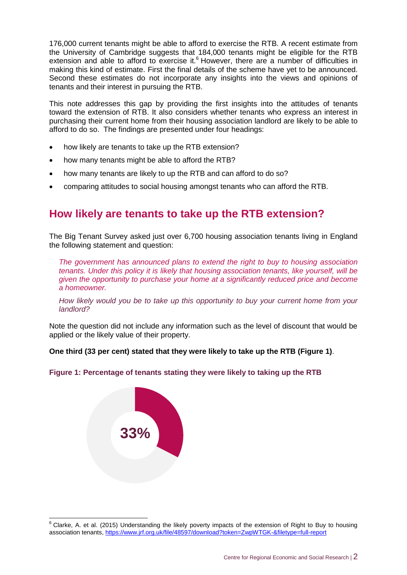176,000 current tenants might be able to afford to exercise the RTB. A recent estimate from the University of Cambridge suggests that 184,000 tenants might be eligible for the RTB extension and able to afford to exercise it. $6$  However, there are a number of difficulties in making this kind of estimate. First the final details of the scheme have yet to be announced. Second these estimates do not incorporate any insights into the views and opinions of tenants and their interest in pursuing the RTB.

This note addresses this gap by providing the first insights into the attitudes of tenants toward the extension of RTB. It also considers whether tenants who express an interest in purchasing their current home from their housing association landlord are likely to be able to afford to do so. The findings are presented under four headings:

- how likely are tenants to take up the RTB extension?
- how many tenants might be able to afford the RTB?
- how many tenants are likely to up the RTB and can afford to do so?
- comparing attitudes to social housing amongst tenants who can afford the RTB.

#### **How likely are tenants to take up the RTB extension?**

The Big Tenant Survey asked just over 6,700 housing association tenants living in England the following statement and question:

*The government has announced plans to extend the right to buy to housing association tenants. Under this policy it is likely that housing association tenants, like yourself, will be given the opportunity to purchase your home at a significantly reduced price and become a homeowner.*

*How likely would you be to take up this opportunity to buy your current home from your landlord?*

Note the question did not include any information such as the level of discount that would be applied or the likely value of their property.

**One third (33 per cent) stated that they were likely to take up the RTB (Figure 1)**.





-

 $6$  Clarke, A. et al. (2015) Understanding the likely poverty impacts of the extension of Right to Buy to housing association tenants,<https://www.jrf.org.uk/file/48597/download?token=ZwpWTGK-&filetype=full-report>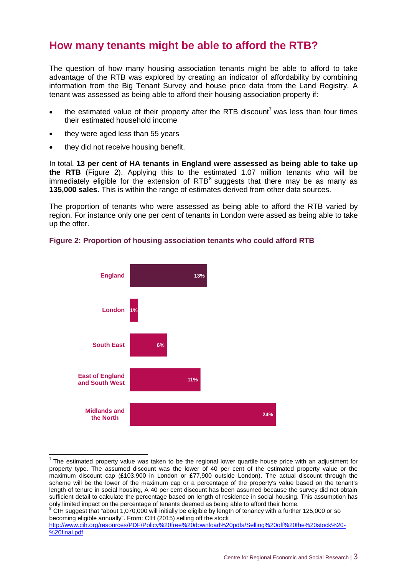#### **How many tenants might be able to afford the RTB?**

The question of how many housing association tenants might be able to afford to take advantage of the RTB was explored by creating an indicator of affordability by combining information from the Big Tenant Survey and house price data from the Land Registry. A tenant was assessed as being able to afford their housing association property if:

- $\bullet$  the estimated value of their property after the RTB discount<sup>7</sup> was less than four times their estimated household income
- they were aged less than 55 years

 $\overline{a}$ 

they did not receive housing benefit.

In total, **13 per cent of HA tenants in England were assessed as being able to take up the RTB** (Figure 2). Applying this to the estimated 1.07 million tenants who will be immediately eligible for the extension of  $RTB^8$  suggests that there may be as many as **135,000 sales**. This is within the range of estimates derived from other data sources.

The proportion of tenants who were assessed as being able to afford the RTB varied by region. For instance only one per cent of tenants in London were assed as being able to take up the offer.



#### **Figure 2: Proportion of housing association tenants who could afford RTB**

 $8$  CIH suggest that "about 1,070,000 will initially be eligible by length of tenancy with a further 125,000 or so becoming eligible annually". From: CIH (2015) selling off the stock

 $<sup>7</sup>$  The estimated property value was taken to be the regional lower quartile house price with an adjustment for</sup> property type. The assumed discount was the lower of 40 per cent of the estimated property value or the maximum discount cap (£103,900 in London or £77,900 outside London). The actual discount through the scheme will be the lower of the maximum cap or a percentage of the property's value based on the tenant's length of tenure in social housing, A 40 per cent discount has been assumed because the survey did not obtain sufficient detail to calculate the percentage based on length of residence in social housing. This assumption has only limited impact on the percentage of tenants deemed as being able to afford their home.

[http://www.cih.org/resources/PDF/Policy%20free%20download%20pdfs/Selling%20off%20the%20stock%20-](http://www.cih.org/resources/PDF/Policy%20free%20download%20pdfs/Selling%20off%20the%20stock%20-%20final.pdf) [%20final.pdf](http://www.cih.org/resources/PDF/Policy%20free%20download%20pdfs/Selling%20off%20the%20stock%20-%20final.pdf)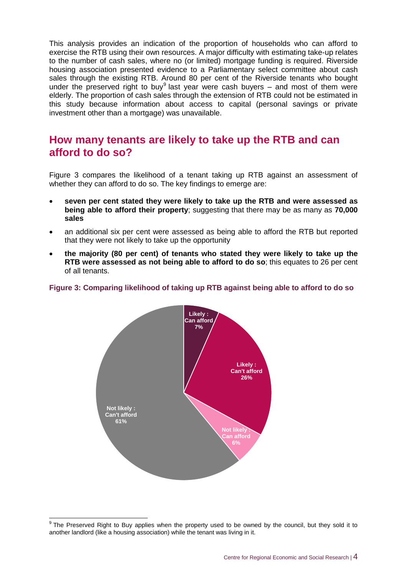This analysis provides an indication of the proportion of households who can afford to exercise the RTB using their own resources. A major difficulty with estimating take-up relates to the number of cash sales, where no (or limited) mortgage funding is required. Riverside housing association presented evidence to a Parliamentary select committee about cash sales through the existing RTB. Around 80 per cent of the Riverside tenants who bought under the preserved right to buy<sup>9</sup> last year were cash buyers  $-$  and most of them were elderly. The proportion of cash sales through the extension of RTB could not be estimated in this study because information about access to capital (personal savings or private investment other than a mortgage) was unavailable.

#### **How many tenants are likely to take up the RTB and can afford to do so?**

Figure 3 compares the likelihood of a tenant taking up RTB against an assessment of whether they can afford to do so. The key findings to emerge are:

- **seven per cent stated they were likely to take up the RTB and were assessed as being able to afford their property**; suggesting that there may be as many as **70,000 sales**
- an additional six per cent were assessed as being able to afford the RTB but reported that they were not likely to take up the opportunity
- **the majority (80 per cent) of tenants who stated they were likely to take up the RTB were assessed as not being able to afford to do so**; this equates to 26 per cent of all tenants.

#### **Figure 3: Comparing likelihood of taking up RTB against being able to afford to do so**



 9 The Preserved Right to Buy applies when the property used to be owned by the council, but they sold it to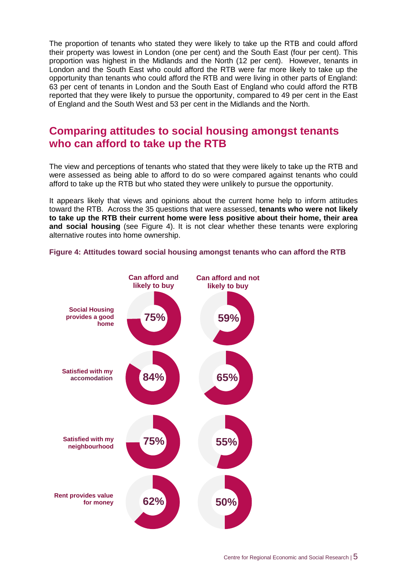The proportion of tenants who stated they were likely to take up the RTB and could afford their property was lowest in London (one per cent) and the South East (four per cent). This proportion was highest in the Midlands and the North (12 per cent). However, tenants in London and the South East who could afford the RTB were far more likely to take up the opportunity than tenants who could afford the RTB and were living in other parts of England: 63 per cent of tenants in London and the South East of England who could afford the RTB reported that they were likely to pursue the opportunity, compared to 49 per cent in the East of England and the South West and 53 per cent in the Midlands and the North.

#### **Comparing attitudes to social housing amongst tenants who can afford to take up the RTB**

The view and perceptions of tenants who stated that they were likely to take up the RTB and were assessed as being able to afford to do so were compared against tenants who could afford to take up the RTB but who stated they were unlikely to pursue the opportunity.

It appears likely that views and opinions about the current home help to inform attitudes toward the RTB. Across the 35 questions that were assessed, **tenants who were not likely to take up the RTB their current home were less positive about their home, their area and social housing** (see Figure 4). It is not clear whether these tenants were exploring alternative routes into home ownership.



**Figure 4: Attitudes toward social housing amongst tenants who can afford the RTB**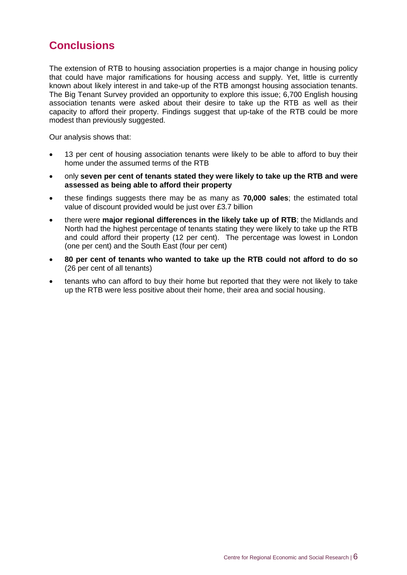#### **Conclusions**

The extension of RTB to housing association properties is a major change in housing policy that could have major ramifications for housing access and supply. Yet, little is currently known about likely interest in and take-up of the RTB amongst housing association tenants. The Big Tenant Survey provided an opportunity to explore this issue; 6,700 English housing association tenants were asked about their desire to take up the RTB as well as their capacity to afford their property. Findings suggest that up-take of the RTB could be more modest than previously suggested.

Our analysis shows that:

- 13 per cent of housing association tenants were likely to be able to afford to buy their home under the assumed terms of the RTB
- only **seven per cent of tenants stated they were likely to take up the RTB and were assessed as being able to afford their property**
- these findings suggests there may be as many as **70,000 sales**; the estimated total value of discount provided would be just over £3.7 billion
- there were **major regional differences in the likely take up of RTB**; the Midlands and North had the highest percentage of tenants stating they were likely to take up the RTB and could afford their property (12 per cent). The percentage was lowest in London (one per cent) and the South East (four per cent)
- **80 per cent of tenants who wanted to take up the RTB could not afford to do so** (26 per cent of all tenants)
- tenants who can afford to buy their home but reported that they were not likely to take up the RTB were less positive about their home, their area and social housing.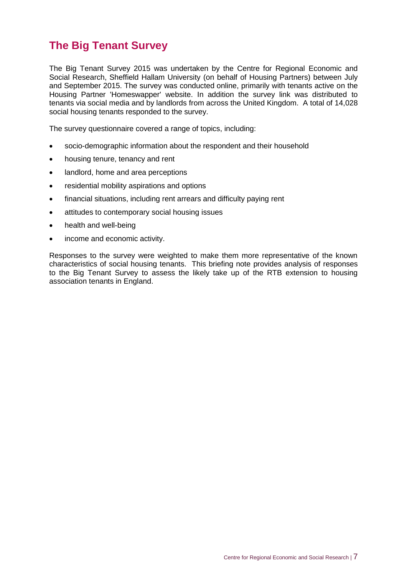## **The Big Tenant Survey**

The Big Tenant Survey 2015 was undertaken by the Centre for Regional Economic and Social Research, Sheffield Hallam University (on behalf of Housing Partners) between July and September 2015. The survey was conducted online, primarily with tenants active on the Housing Partner 'Homeswapper' website. In addition the survey link was distributed to tenants via social media and by landlords from across the United Kingdom. A total of 14,028 social housing tenants responded to the survey.

The survey questionnaire covered a range of topics, including:

- socio-demographic information about the respondent and their household
- housing tenure, tenancy and rent
- landlord, home and area perceptions
- residential mobility aspirations and options
- financial situations, including rent arrears and difficulty paying rent
- attitudes to contemporary social housing issues
- health and well-being
- income and economic activity.

Responses to the survey were weighted to make them more representative of the known characteristics of social housing tenants. This briefing note provides analysis of responses to the Big Tenant Survey to assess the likely take up of the RTB extension to housing association tenants in England.